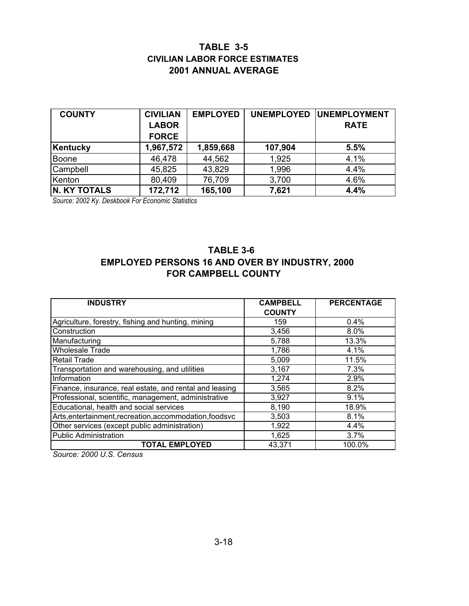## **TABLE 3-5 CIVILIAN LABOR FORCE ESTIMATES 2001 ANNUAL AVERAGE**

| <b>COUNTY</b>       | <b>CIVILIAN</b> | <b>EMPLOYED</b> | <b>UNEMPLOYED</b> | <b>IUNEMPLOYMENT</b> |
|---------------------|-----------------|-----------------|-------------------|----------------------|
|                     | <b>LABOR</b>    |                 |                   | <b>RATE</b>          |
|                     | <b>FORCE</b>    |                 |                   |                      |
| Kentucky            | 1,967,572       | 1,859,668       | 107,904           | 5.5%                 |
| <b>Boone</b>        | 46,478          | 44,562          | 1,925             | 4.1%                 |
| Campbell            | 45,825          | 43,829          | 1,996             | 4.4%                 |
| Kenton              | 80,409          | 76,709          | 3,700             | 4.6%                 |
| <b>N. KY TOTALS</b> | 172,712         | 165,100         | 7,621             | 4.4%                 |

*Source: 2002 Ky. Deskbook For Economic Statistics* 

## **TABLE 3-6 EMPLOYED PERSONS 16 AND OVER BY INDUSTRY, 2000 FOR CAMPBELL COUNTY**

| <b>INDUSTRY</b>                                         | <b>CAMPBELL</b> | <b>PERCENTAGE</b> |
|---------------------------------------------------------|-----------------|-------------------|
|                                                         | <b>COUNTY</b>   |                   |
| Agriculture, forestry, fishing and hunting, mining      | 159             | 0.4%              |
| Construction                                            | 3,456           | 8.0%              |
| Manufacturing                                           | 5,788           | 13.3%             |
| <b>Wholesale Trade</b>                                  | 1,786           | 4.1%              |
| <b>Retail Trade</b>                                     | 5,009           | 11.5%             |
| Transportation and warehousing, and utilities           | 3,167           | 7.3%              |
| Information                                             | 1,274           | 2.9%              |
| Finance, insurance, real estate, and rental and leasing | 3,565           | 8.2%              |
| Professional, scientific, management, administrative    | 3,927           | 9.1%              |
| Educational, health and social services                 | 8,190           | 18.9%             |
| Arts, entertainment, recreation, accommodation, foodsvc | 3,503           | 8.1%              |
| Other services (except public administration)           | 1,922           | 4.4%              |
| <b>Public Administration</b>                            | 1,625           | 3.7%              |
| <b>TOTAL EMPLOYED</b>                                   | 43,371          | 100.0%            |

*Source: 2000 U.S. Census*